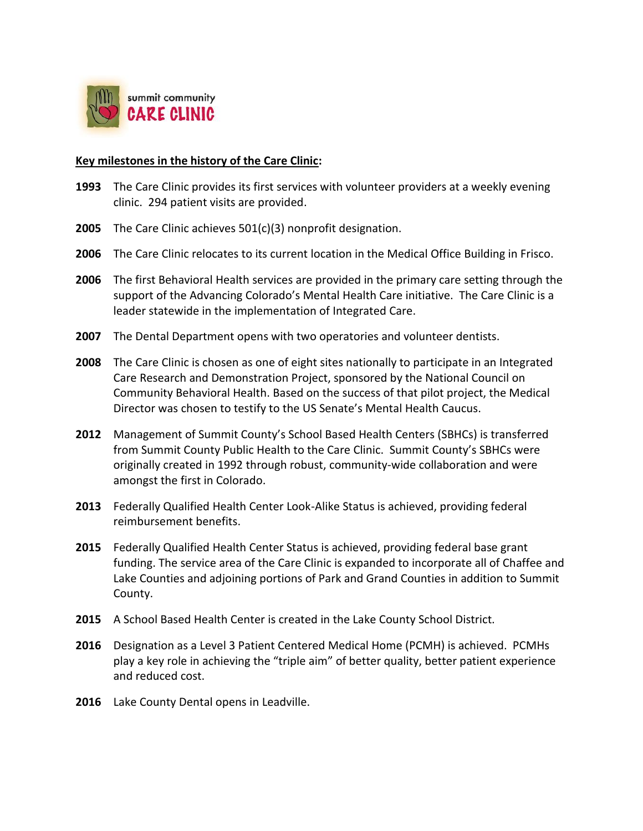

## **Key milestones in the history of the Care Clinic:**

- **1993** The Care Clinic provides its first services with volunteer providers at a weekly evening clinic. 294 patient visits are provided.
- **2005** The Care Clinic achieves 501(c)(3) nonprofit designation.
- **2006** The Care Clinic relocates to its current location in the Medical Office Building in Frisco.
- **2006** The first Behavioral Health services are provided in the primary care setting through the support of the Advancing Colorado's Mental Health Care initiative. The Care Clinic is a leader statewide in the implementation of Integrated Care.
- **2007** The Dental Department opens with two operatories and volunteer dentists.
- **2008** The Care Clinic is chosen as one of eight sites nationally to participate in an Integrated Care Research and Demonstration Project, sponsored by the National Council on Community Behavioral Health. Based on the success of that pilot project, the Medical Director was chosen to testify to the US Senate's Mental Health Caucus.
- **2012** Management of Summit County's School Based Health Centers (SBHCs) is transferred from Summit County Public Health to the Care Clinic. Summit County's SBHCs were originally created in 1992 through robust, community-wide collaboration and were amongst the first in Colorado.
- **2013** Federally Qualified Health Center Look-Alike Status is achieved, providing federal reimbursement benefits.
- **2015** Federally Qualified Health Center Status is achieved, providing federal base grant funding. The service area of the Care Clinic is expanded to incorporate all of Chaffee and Lake Counties and adjoining portions of Park and Grand Counties in addition to Summit County.
- **2015** A School Based Health Center is created in the Lake County School District.
- **2016** Designation as a Level 3 Patient Centered Medical Home (PCMH) is achieved. PCMHs play a key role in achieving the "triple aim" of better quality, better patient experience and reduced cost.
- **2016** Lake County Dental opens in Leadville.